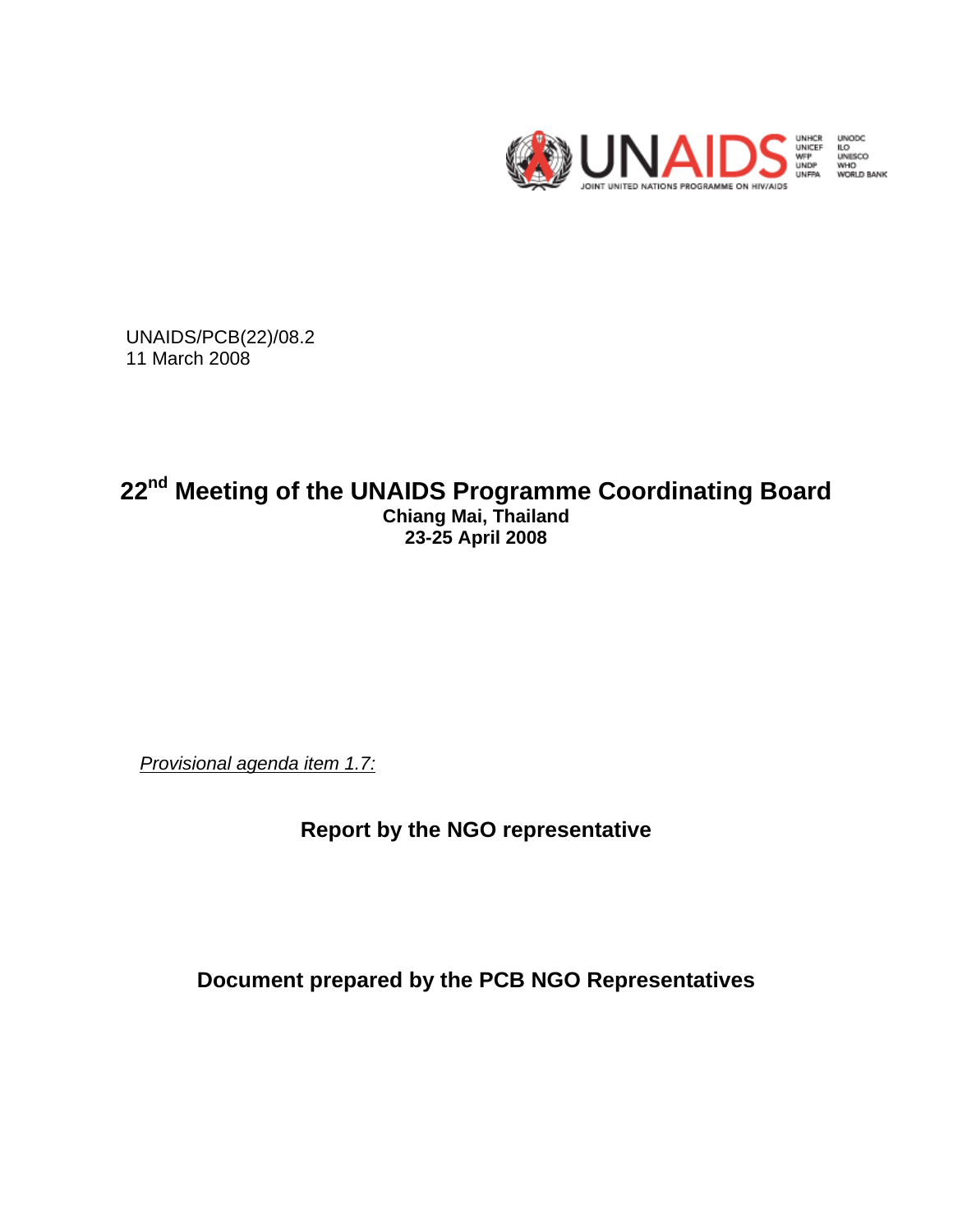

UNODC<br>ILO<br>UNIISCO<br>WORLD BANK

UNAIDS/PCB(22)/08.2 11 March 2008

# **22nd Meeting of the UNAIDS Programme Coordinating Board Chiang Mai, Thailand 23-25 April 2008**

*Provisional agenda item 1.7:*

**Report by the NGO representative** 

**Document prepared by the PCB NGO Representatives**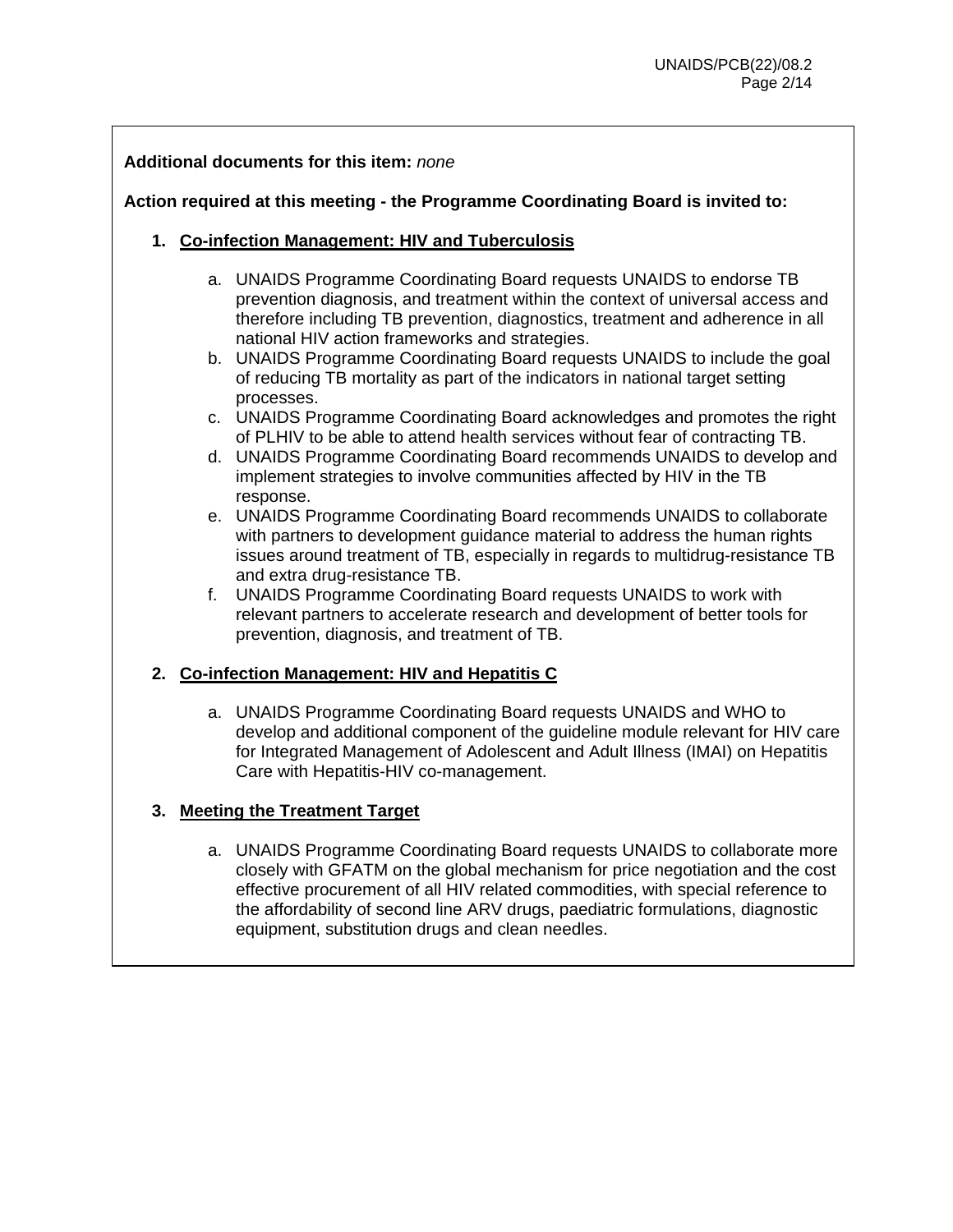## **Additional documents for this item:** *none*

## **Action required at this meeting - the Programme Coordinating Board is invited to:**

- **1. Co-infection Management: HIV and Tuberculosis** 
	- a. UNAIDS Programme Coordinating Board requests UNAIDS to endorse TB prevention diagnosis, and treatment within the context of universal access and therefore including TB prevention, diagnostics, treatment and adherence in all national HIV action frameworks and strategies.
	- b. UNAIDS Programme Coordinating Board requests UNAIDS to include the goal of reducing TB mortality as part of the indicators in national target setting processes.
	- c. UNAIDS Programme Coordinating Board acknowledges and promotes the right of PLHIV to be able to attend health services without fear of contracting TB.
	- d. UNAIDS Programme Coordinating Board recommends UNAIDS to develop and implement strategies to involve communities affected by HIV in the TB response.
	- e. UNAIDS Programme Coordinating Board recommends UNAIDS to collaborate with partners to development guidance material to address the human rights issues around treatment of TB, especially in regards to multidrug-resistance TB and extra drug-resistance TB.
	- f. UNAIDS Programme Coordinating Board requests UNAIDS to work with relevant partners to accelerate research and development of better tools for prevention, diagnosis, and treatment of TB.

## **2. Co-infection Management: HIV and Hepatitis C**

a. UNAIDS Programme Coordinating Board requests UNAIDS and WHO to develop and additional component of the guideline module relevant for HIV care for Integrated Management of Adolescent and Adult Illness (IMAI) on Hepatitis Care with Hepatitis-HIV co-management.

#### **3. Meeting the Treatment Target**

a. UNAIDS Programme Coordinating Board requests UNAIDS to collaborate more closely with GFATM on the global mechanism for price negotiation and the cost effective procurement of all HIV related commodities, with special reference to the affordability of second line ARV drugs, paediatric formulations, diagnostic equipment, substitution drugs and clean needles.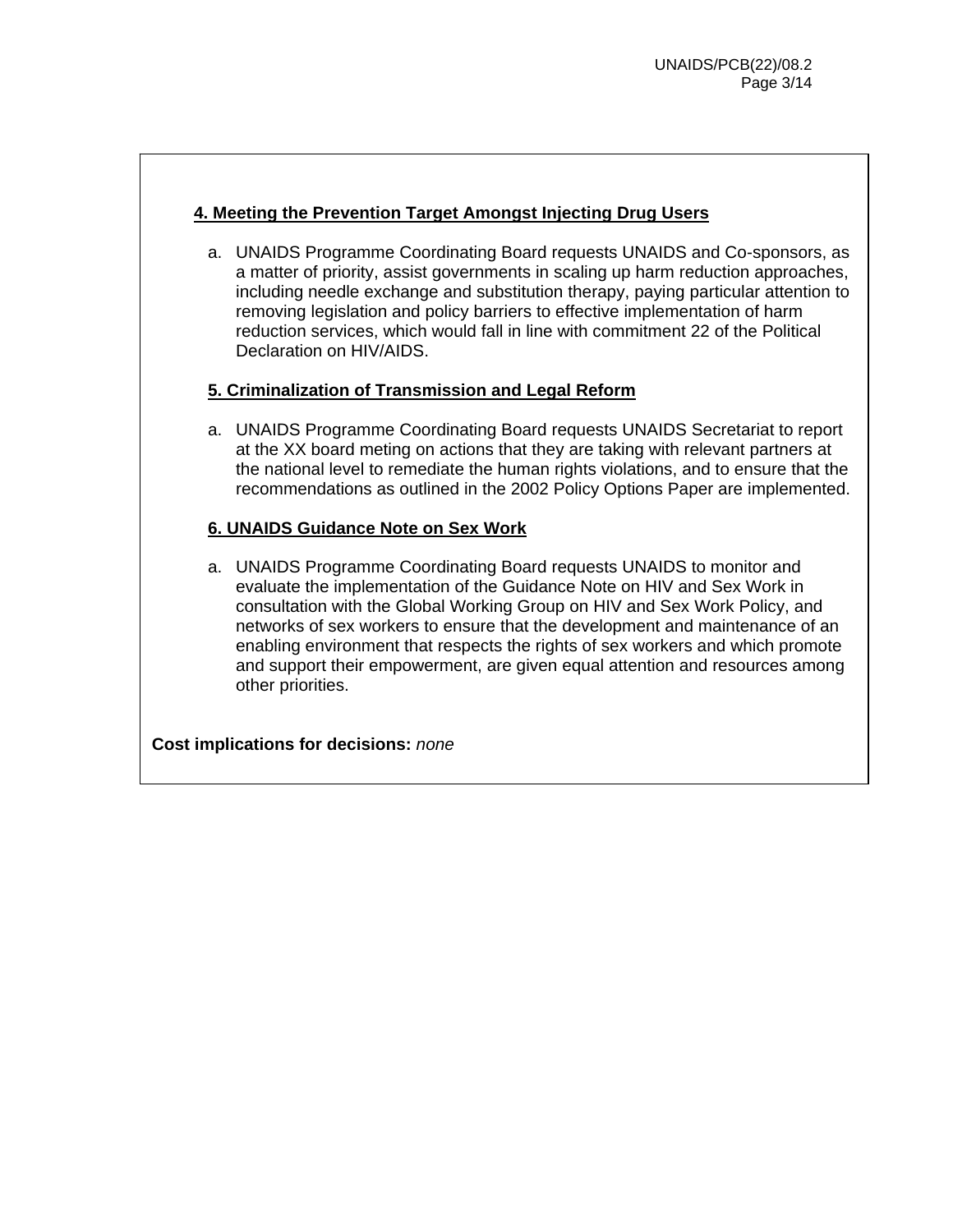## **4. Meeting the Prevention Target Amongst Injecting Drug Users**

a. UNAIDS Programme Coordinating Board requests UNAIDS and Co-sponsors, as a matter of priority, assist governments in scaling up harm reduction approaches, including needle exchange and substitution therapy, paying particular attention to removing legislation and policy barriers to effective implementation of harm reduction services, which would fall in line with commitment 22 of the Political Declaration on HIV/AIDS.

#### **5. Criminalization of Transmission and Legal Reform**

a. UNAIDS Programme Coordinating Board requests UNAIDS Secretariat to report at the XX board meting on actions that they are taking with relevant partners at the national level to remediate the human rights violations, and to ensure that the recommendations as outlined in the 2002 Policy Options Paper are implemented.

#### **6. UNAIDS Guidance Note on Sex Work**

a. UNAIDS Programme Coordinating Board requests UNAIDS to monitor and evaluate the implementation of the Guidance Note on HIV and Sex Work in consultation with the Global Working Group on HIV and Sex Work Policy, and networks of sex workers to ensure that the development and maintenance of an enabling environment that respects the rights of sex workers and which promote and support their empowerment, are given equal attention and resources among other priorities.

**Cost implications for decisions:** *none*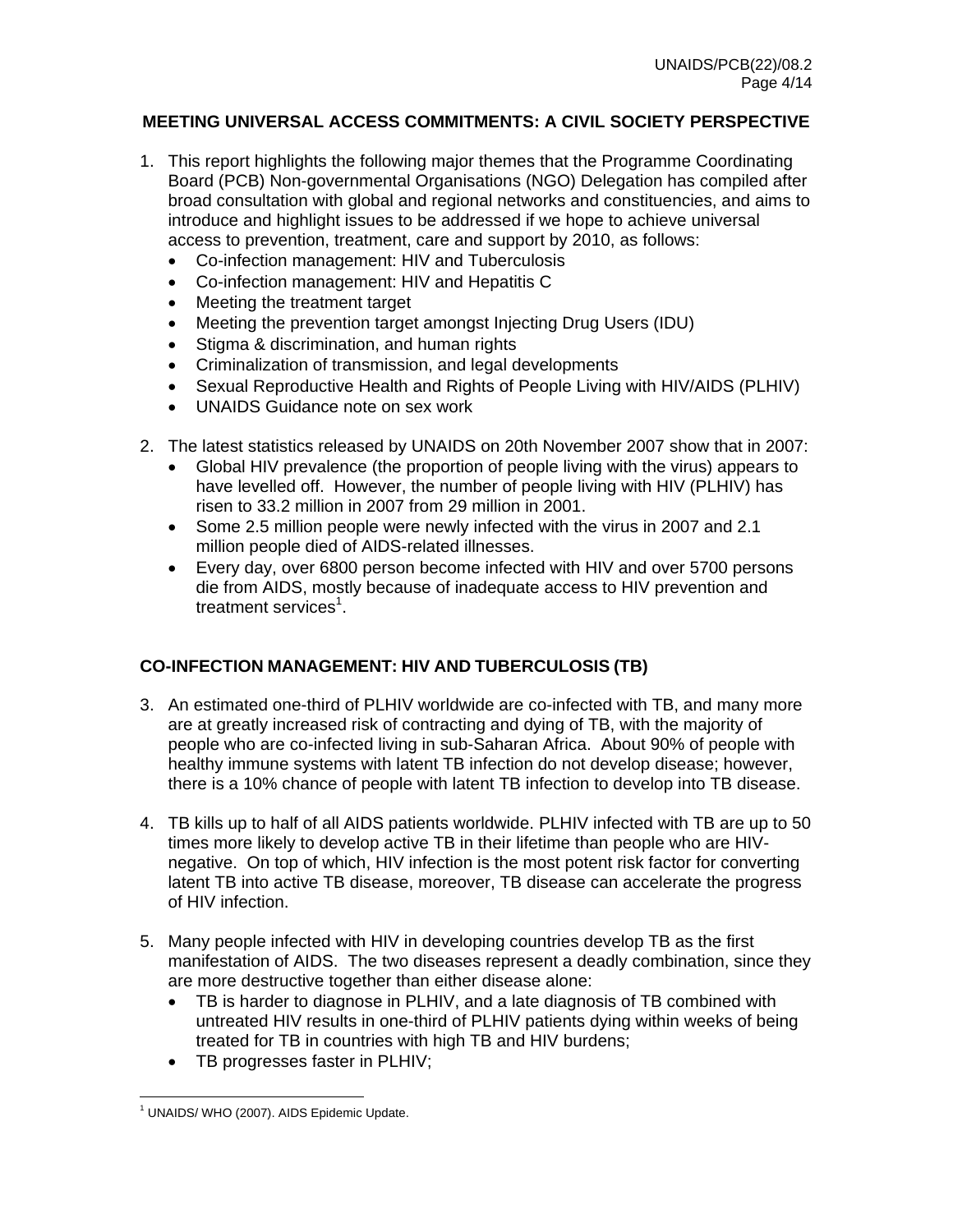## **MEETING UNIVERSAL ACCESS COMMITMENTS: A CIVIL SOCIETY PERSPECTIVE**

- 1. This report highlights the following major themes that the Programme Coordinating Board (PCB) Non-governmental Organisations (NGO) Delegation has compiled after broad consultation with global and regional networks and constituencies, and aims to introduce and highlight issues to be addressed if we hope to achieve universal access to prevention, treatment, care and support by 2010, as follows:
	- Co-infection management: HIV and Tuberculosis
	- Co-infection management: HIV and Hepatitis C
	- Meeting the treatment target
	- Meeting the prevention target amongst Injecting Drug Users (IDU)
	- Stigma & discrimination, and human rights
	- Criminalization of transmission, and legal developments
	- Sexual Reproductive Health and Rights of People Living with HIV/AIDS (PLHIV)
	- UNAIDS Guidance note on sex work
- 2. The latest statistics released by UNAIDS on 20th November 2007 show that in 2007:
	- Global HIV prevalence (the proportion of people living with the virus) appears to have levelled off. However, the number of people living with HIV (PLHIV) has risen to 33.2 million in 2007 from 29 million in 2001.
	- Some 2.5 million people were newly infected with the virus in 2007 and 2.1 million people died of AIDS-related illnesses.
	- Every day, over 6800 person become infected with HIV and over 5700 persons die from AIDS, mostly because of inadequate access to HIV prevention and treatment services<sup>1</sup>.

## **CO-INFECTION MANAGEMENT: HIV AND TUBERCULOSIS (TB)**

- 3. An estimated one-third of PLHIV worldwide are co-infected with TB, and many more are at greatly increased risk of contracting and dying of TB, with the majority of people who are co-infected living in sub-Saharan Africa. About 90% of people with healthy immune systems with latent TB infection do not develop disease; however, there is a 10% chance of people with latent TB infection to develop into TB disease.
- 4. TB kills up to half of all AIDS patients worldwide. PLHIV infected with TB are up to 50 times more likely to develop active TB in their lifetime than people who are HIVnegative. On top of which, HIV infection is the most potent risk factor for converting latent TB into active TB disease, moreover, TB disease can accelerate the progress of HIV infection.
- 5. Many people infected with HIV in developing countries develop TB as the first manifestation of AIDS. The two diseases represent a deadly combination, since they are more destructive together than either disease alone:
	- TB is harder to diagnose in PLHIV, and a late diagnosis of TB combined with untreated HIV results in one-third of PLHIV patients dying within weeks of being treated for TB in countries with high TB and HIV burdens;
	- TB progresses faster in PLHIV;

 1 UNAIDS/ WHO (2007). AIDS Epidemic Update.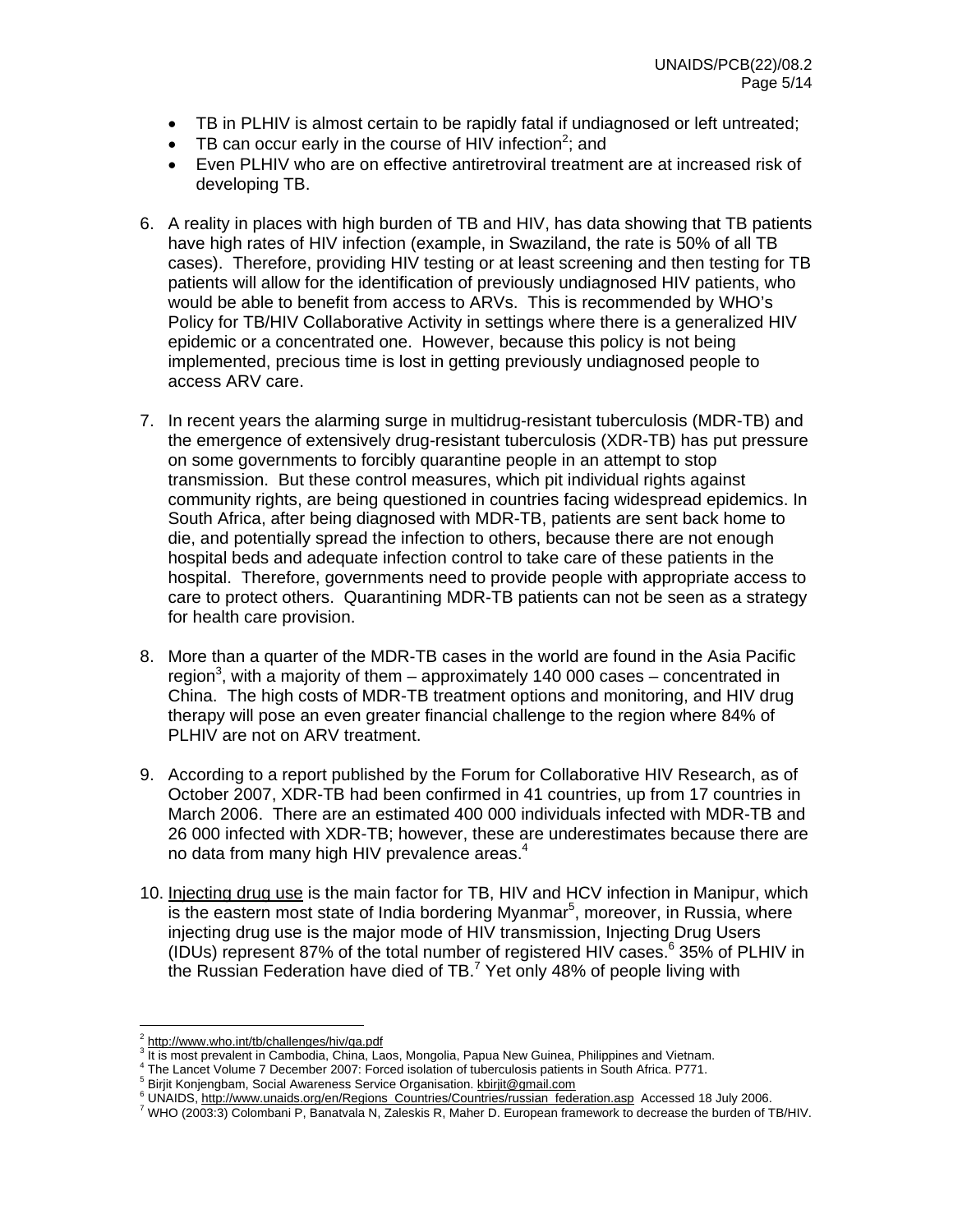- TB in PLHIV is almost certain to be rapidly fatal if undiagnosed or left untreated;
- TB can occur early in the course of HIV infection<sup>2</sup>; and
- Even PLHIV who are on effective antiretroviral treatment are at increased risk of developing TB.
- 6. A reality in places with high burden of TB and HIV, has data showing that TB patients have high rates of HIV infection (example, in Swaziland, the rate is 50% of all TB cases). Therefore, providing HIV testing or at least screening and then testing for TB patients will allow for the identification of previously undiagnosed HIV patients, who would be able to benefit from access to ARVs. This is recommended by WHO's Policy for TB/HIV Collaborative Activity in settings where there is a generalized HIV epidemic or a concentrated one. However, because this policy is not being implemented, precious time is lost in getting previously undiagnosed people to access ARV care.
- 7. In recent years the alarming surge in multidrug-resistant tuberculosis (MDR-TB) and the emergence of extensively drug-resistant tuberculosis (XDR-TB) has put pressure on some governments to forcibly quarantine people in an attempt to stop transmission. But these control measures, which pit individual rights against community rights, are being questioned in countries facing widespread epidemics. In South Africa, after being diagnosed with MDR-TB, patients are sent back home to die, and potentially spread the infection to others, because there are not enough hospital beds and adequate infection control to take care of these patients in the hospital. Therefore, governments need to provide people with appropriate access to care to protect others. Quarantining MDR-TB patients can not be seen as a strategy for health care provision.
- 8. More than a quarter of the MDR-TB cases in the world are found in the Asia Pacific region<sup>3</sup>, with a majority of them – approximately 140 000 cases – concentrated in China. The high costs of MDR-TB treatment options and monitoring, and HIV drug therapy will pose an even greater financial challenge to the region where 84% of PLHIV are not on ARV treatment.
- 9. According to a report published by the Forum for Collaborative HIV Research, as of October 2007, XDR-TB had been confirmed in 41 countries, up from 17 countries in March 2006. There are an estimated 400 000 individuals infected with MDR-TB and 26 000 infected with XDR-TB; however, these are underestimates because there are no data from many high HIV prevalence areas. $4$
- 10. Injecting drug use is the main factor for TB, HIV and HCV infection in Manipur, which is the eastern most state of India bordering Myanmar $<sup>5</sup>$ , moreover, in Russia, where</sup> injecting drug use is the major mode of HIV transmission, Injecting Drug Users (IDUs) represent 87% of the total number of registered HIV cases.<sup>6</sup> 35% of PLHIV in the Russian Federation have died of TB.<sup>7</sup> Yet only 48% of people living with

 $\overline{a}$ 

 $\frac{2 \text{ http://www.who.int/tb/challenges/hiv/qa.pdf}}{3 \text{ It is most travelled in Cemhadic. Chimes 1.5}}$ 

<sup>&</sup>lt;sup>3</sup> It is most prevalent in Cambodia, China, Laos, Mongolia, Papua New Guinea, Philippines and Vietnam.

<sup>&</sup>lt;sup>4</sup> The Lancet Volume 7 December 2007: Forced isolation of tuberculosis patients in South Africa. P771.

Birjit Konjengbam, Social Awareness Service Organisation. kbirjit@gmail.com

Dipertity, Figs. 2014, Networks 2014, Networks 2015. 2016. The UNAIDS, http://www.unaids.org/en/Regions\_Countries/Countries/russian\_federation.asp Accessed 18 July 2006.

WHO (2003:3) Colombani P, Banatvala N, Zaleskis R, Maher D. European framework to decrease the burden of TB/HIV.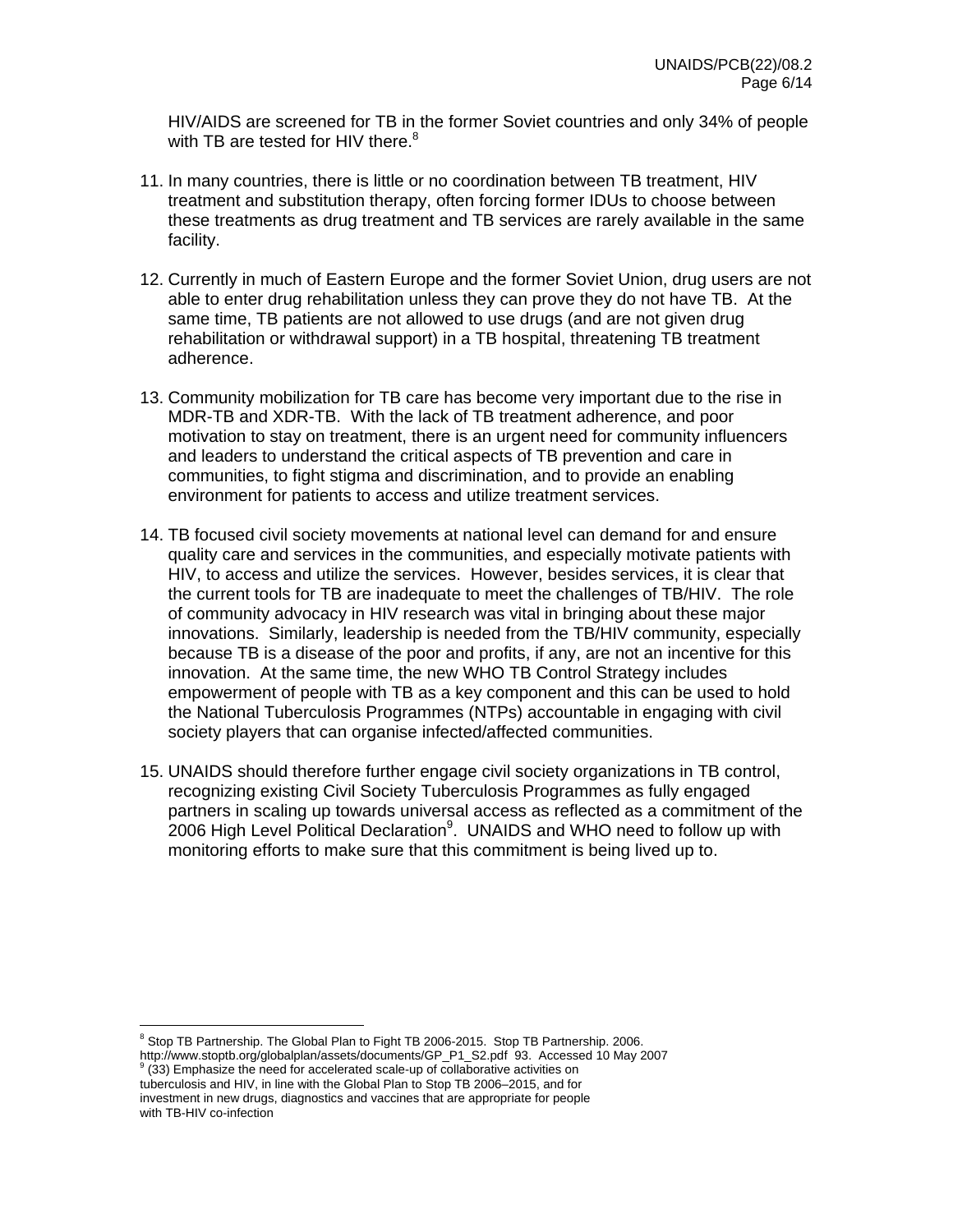HIV/AIDS are screened for TB in the former Soviet countries and only 34% of people with TB are tested for HIV there. $8$ 

- 11. In many countries, there is little or no coordination between TB treatment, HIV treatment and substitution therapy, often forcing former IDUs to choose between these treatments as drug treatment and TB services are rarely available in the same facility.
- 12. Currently in much of Eastern Europe and the former Soviet Union, drug users are not able to enter drug rehabilitation unless they can prove they do not have TB. At the same time, TB patients are not allowed to use drugs (and are not given drug rehabilitation or withdrawal support) in a TB hospital, threatening TB treatment adherence.
- 13. Community mobilization for TB care has become very important due to the rise in MDR-TB and XDR-TB. With the lack of TB treatment adherence, and poor motivation to stay on treatment, there is an urgent need for community influencers and leaders to understand the critical aspects of TB prevention and care in communities, to fight stigma and discrimination, and to provide an enabling environment for patients to access and utilize treatment services.
- 14. TB focused civil society movements at national level can demand for and ensure quality care and services in the communities, and especially motivate patients with HIV, to access and utilize the services. However, besides services, it is clear that the current tools for TB are inadequate to meet the challenges of TB/HIV. The role of community advocacy in HIV research was vital in bringing about these major innovations. Similarly, leadership is needed from the TB/HIV community, especially because TB is a disease of the poor and profits, if any, are not an incentive for this innovation. At the same time, the new WHO TB Control Strategy includes empowerment of people with TB as a key component and this can be used to hold the National Tuberculosis Programmes (NTPs) accountable in engaging with civil society players that can organise infected/affected communities.
- 15. UNAIDS should therefore further engage civil society organizations in TB control, recognizing existing Civil Society Tuberculosis Programmes as fully engaged partners in scaling up towards universal access as reflected as a commitment of the  $2006$  High Level Political Declaration<sup>9</sup>. UNAIDS and WHO need to follow up with monitoring efforts to make sure that this commitment is being lived up to.

 $(33)$  Emphasize the need for accelerated scale-up of collaborative activities on tuberculosis and HIV, in line with the Global Plan to Stop TB 2006–2015, and for investment in new drugs, diagnostics and vaccines that are appropriate for people with TB-HIV co-infection

 $\overline{a}$ 

<sup>&</sup>lt;sup>8</sup> Stop TB Partnership. The Global Plan to Fight TB 2006-2015. Stop TB Partnership. 2006.

http://www.stoptb.org/globalplan/assets/documents/GP\_P1\_S2.pdf 93. Accessed 10 May 2007 9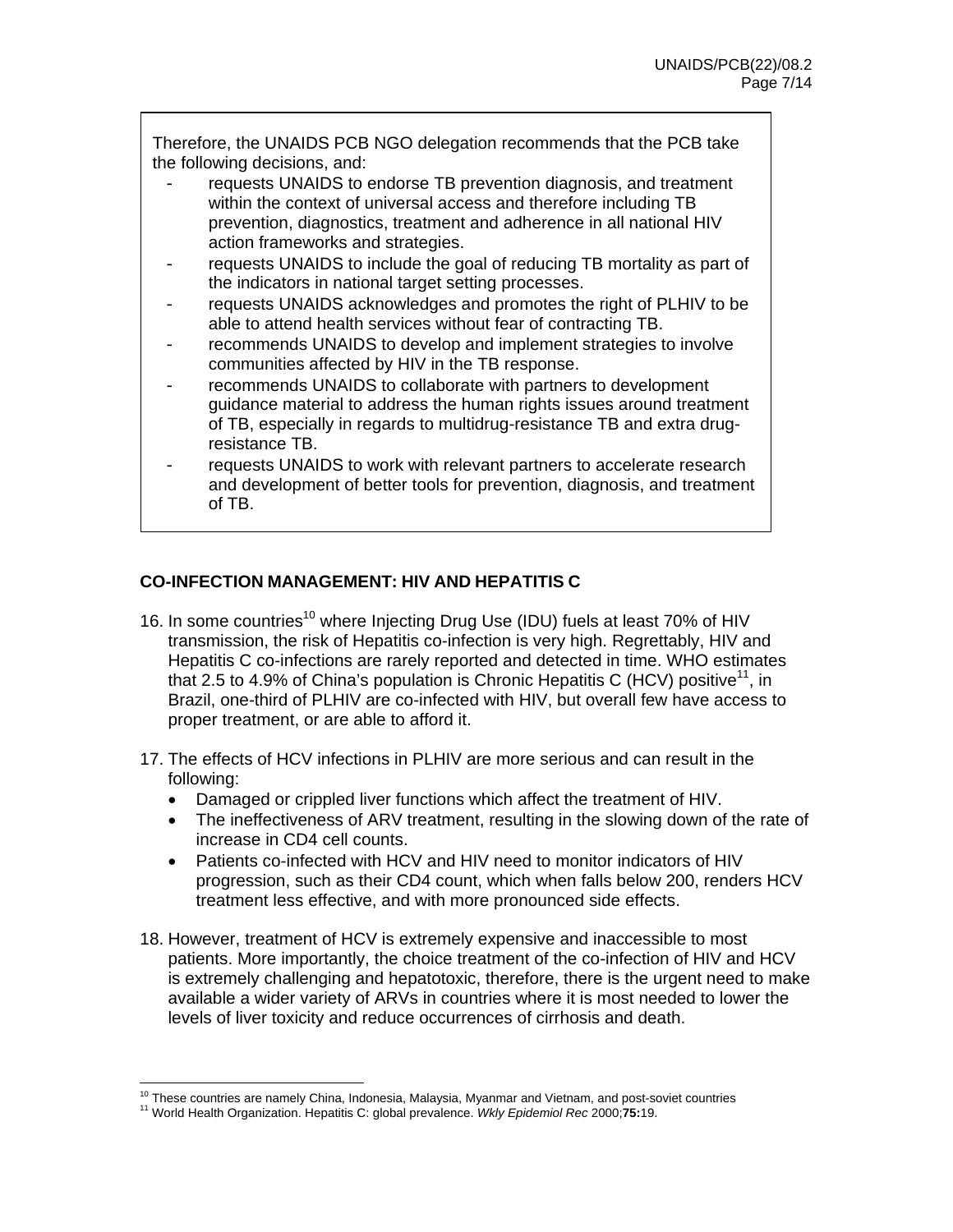Therefore, the UNAIDS PCB NGO delegation recommends that the PCB take the following decisions, and:

- requests UNAIDS to endorse TB prevention diagnosis, and treatment within the context of universal access and therefore including TB prevention, diagnostics, treatment and adherence in all national HIV action frameworks and strategies.
- requests UNAIDS to include the goal of reducing TB mortality as part of the indicators in national target setting processes.
- requests UNAIDS acknowledges and promotes the right of PLHIV to be able to attend health services without fear of contracting TB.
- recommends UNAIDS to develop and implement strategies to involve communities affected by HIV in the TB response.
- recommends UNAIDS to collaborate with partners to development guidance material to address the human rights issues around treatment of TB, especially in regards to multidrug-resistance TB and extra drugresistance TB.
- requests UNAIDS to work with relevant partners to accelerate research and development of better tools for prevention, diagnosis, and treatment of TB.

## **CO-INFECTION MANAGEMENT: HIV AND HEPATITIS C**

- 16. In some countries<sup>10</sup> where Injecting Drug Use (IDU) fuels at least 70% of HIV transmission, the risk of Hepatitis co-infection is very high. Regrettably, HIV and Hepatitis C co-infections are rarely reported and detected in time. WHO estimates that 2.5 to 4.9% of China's population is Chronic Hepatitis C (HCV) positive<sup>11</sup>, in Brazil, one-third of PLHIV are co-infected with HIV, but overall few have access to proper treatment, or are able to afford it.
- 17. The effects of HCV infections in PLHIV are more serious and can result in the following:
	- Damaged or crippled liver functions which affect the treatment of HIV.
	- The ineffectiveness of ARV treatment, resulting in the slowing down of the rate of increase in CD4 cell counts.
	- Patients co-infected with HCV and HIV need to monitor indicators of HIV progression, such as their CD4 count, which when falls below 200, renders HCV treatment less effective, and with more pronounced side effects.
- 18. However, treatment of HCV is extremely expensive and inaccessible to most patients. More importantly, the choice treatment of the co-infection of HIV and HCV is extremely challenging and hepatotoxic, therefore, there is the urgent need to make available a wider variety of ARVs in countries where it is most needed to lower the levels of liver toxicity and reduce occurrences of cirrhosis and death.

<sup>&</sup>lt;sup>10</sup> These countries are namely China, Indonesia, Malaysia, Myanmar and Vietnam, and post-soviet countries

<sup>10</sup> These countries are namely China, Indonesia, Malaysia, Myanmar and Vietnam, and post-soviet countries 11 World Health Organization. Hepatitis C: global prevalence. *Wkly Epidemiol Rec* 2000;**75:**19.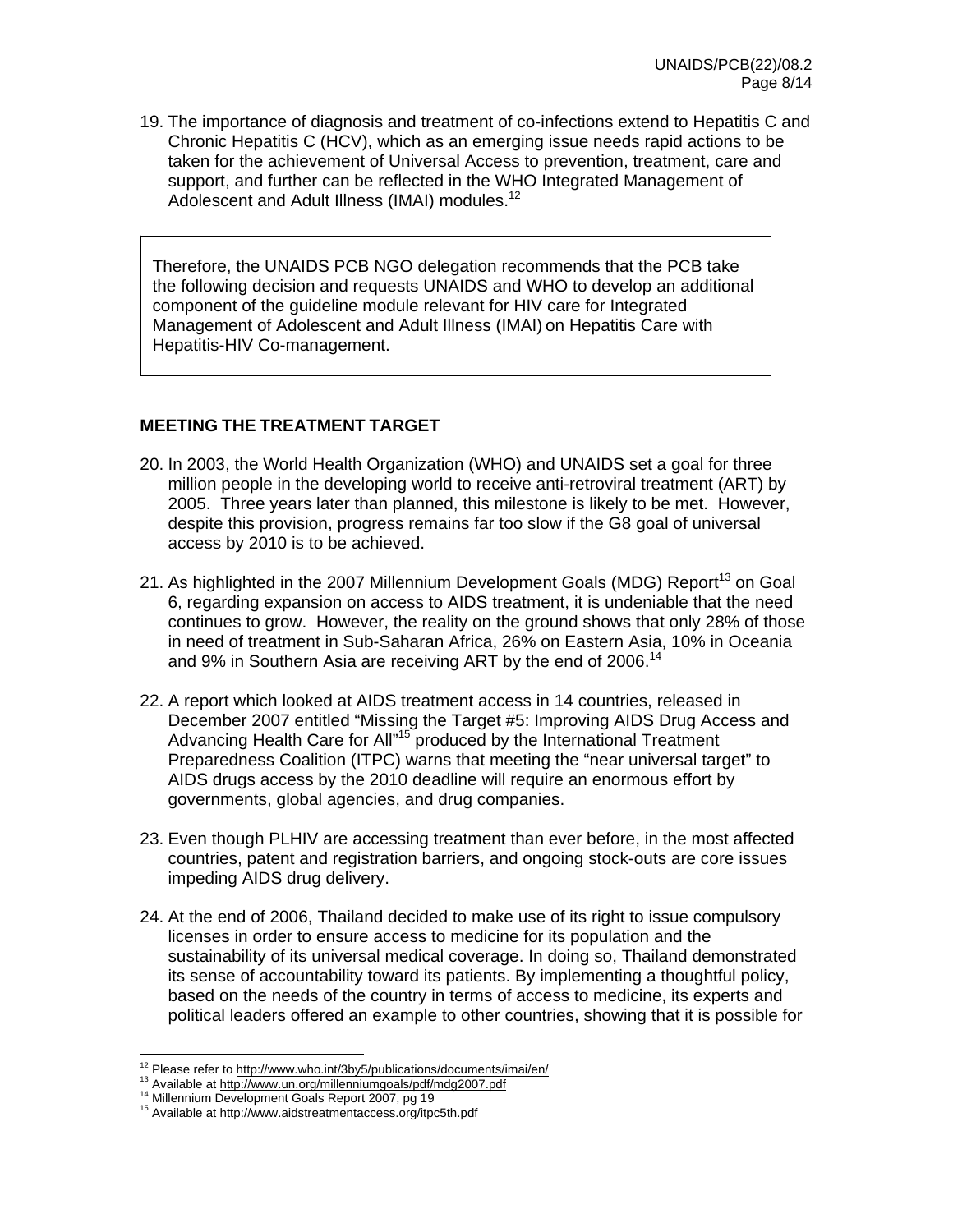19. The importance of diagnosis and treatment of co-infections extend to Hepatitis C and Chronic Hepatitis C (HCV), which as an emerging issue needs rapid actions to be taken for the achievement of Universal Access to prevention, treatment, care and support, and further can be reflected in the WHO Integrated Management of Adolescent and Adult Illness (IMAI) modules.<sup>12</sup>

Therefore, the UNAIDS PCB NGO delegation recommends that the PCB take the following decision and requests UNAIDS and WHO to develop an additional component of the guideline module relevant for HIV care for Integrated Management of Adolescent and Adult Illness (IMAI) on Hepatitis Care with Hepatitis-HIV Co-management.

#### **MEETING THE TREATMENT TARGET**

- 20. In 2003, the World Health Organization (WHO) and UNAIDS set a goal for three million people in the developing world to receive anti-retroviral treatment (ART) by 2005. Three years later than planned, this milestone is likely to be met. However, despite this provision, progress remains far too slow if the G8 goal of universal access by 2010 is to be achieved.
- 21. As highlighted in the 2007 Millennium Development Goals (MDG) Report<sup>13</sup> on Goal 6, regarding expansion on access to AIDS treatment, it is undeniable that the need continues to grow. However, the reality on the ground shows that only 28% of those in need of treatment in Sub-Saharan Africa, 26% on Eastern Asia, 10% in Oceania and 9% in Southern Asia are receiving ART by the end of 2006.<sup>14</sup>
- 22. A report which looked at AIDS treatment access in 14 countries, released in December 2007 entitled "Missing the Target #5: Improving AIDS Drug Access and Advancing Health Care for All"15 produced by the International Treatment Preparedness Coalition (ITPC) warns that meeting the "near universal target" to AIDS drugs access by the 2010 deadline will require an enormous effort by governments, global agencies, and drug companies.
- 23. Even though PLHIV are accessing treatment than ever before, in the most affected countries, patent and registration barriers, and ongoing stock-outs are core issues impeding AIDS drug delivery.
- 24. At the end of 2006, Thailand decided to make use of its right to issue compulsory licenses in order to ensure access to medicine for its population and the sustainability of its universal medical coverage. In doing so, Thailand demonstrated its sense of accountability toward its patients. By implementing a thoughtful policy, based on the needs of the country in terms of access to medicine, its experts and political leaders offered an example to other countries, showing that it is possible for

<sup>&</sup>lt;sup>12</sup> Please refer to http://www.who.int/3by5/publications/documents/imai/en/

<sup>&</sup>lt;sup>13</sup> Available at http://www.un.org/millenniumgoals/pdf/mdg2007.pdf<br><sup>14</sup> Millennium Development Goals Report 2007, pg 19<br><sup>15</sup> Available at http://www.aidstreatmentaccess.org/itpc5th.pdf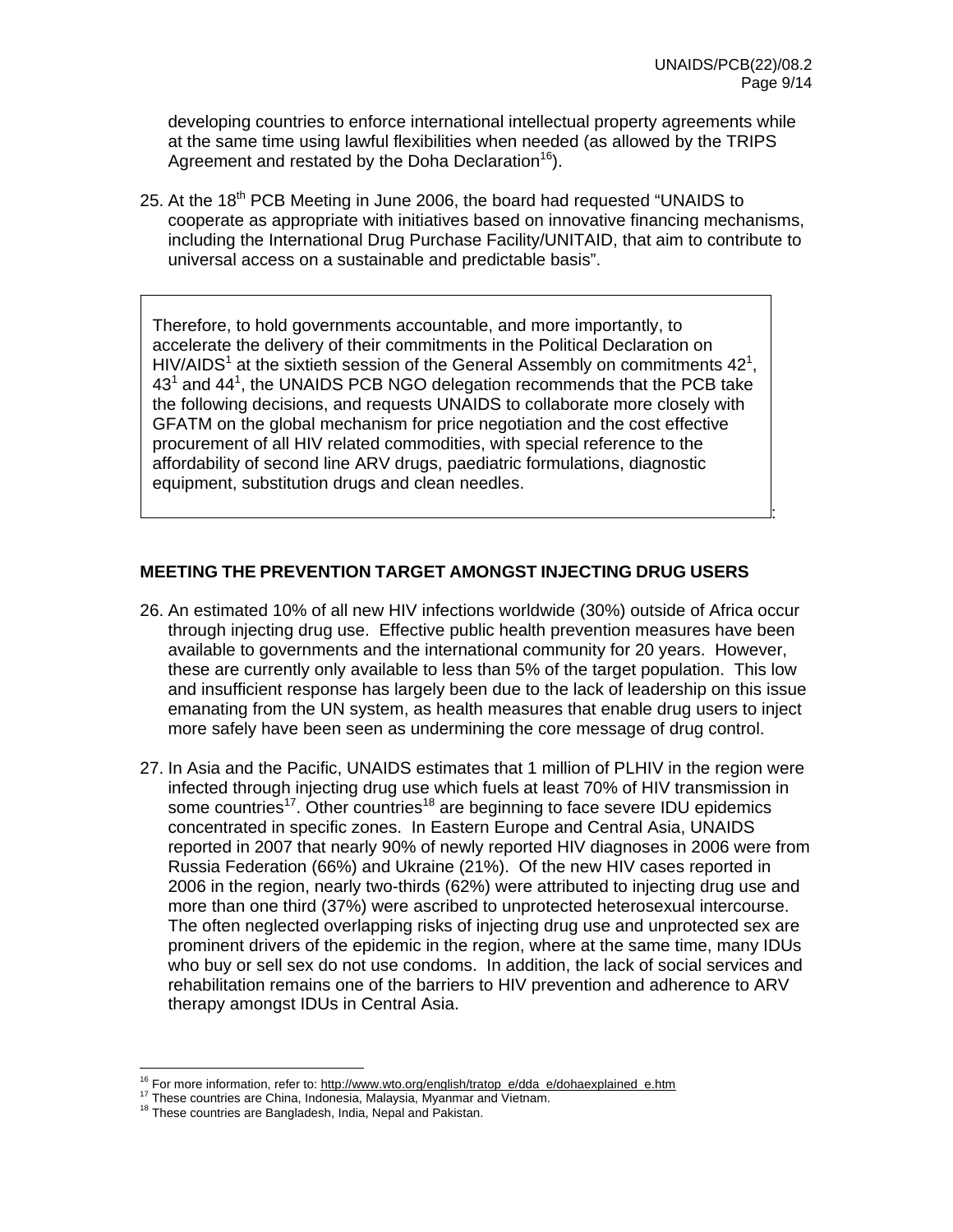:

developing countries to enforce international intellectual property agreements while at the same time using lawful flexibilities when needed (as allowed by the TRIPS Agreement and restated by the Doha Declaration<sup>16</sup>).

25. At the 18<sup>th</sup> PCB Meeting in June 2006, the board had requested "UNAIDS to cooperate as appropriate with initiatives based on innovative financing mechanisms, including the International Drug Purchase Facility/UNITAID, that aim to contribute to universal access on a sustainable and predictable basis".

Therefore, to hold governments accountable, and more importantly, to accelerate the delivery of their commitments in the Political Declaration on HIV/AIDS<sup>1</sup> at the sixtieth session of the General Assembly on commitments  $42^1$ ,  $43<sup>1</sup>$  and  $44<sup>1</sup>$ , the UNAIDS PCB NGO delegation recommends that the PCB take the following decisions, and requests UNAIDS to collaborate more closely with GFATM on the global mechanism for price negotiation and the cost effective procurement of all HIV related commodities, with special reference to the affordability of second line ARV drugs, paediatric formulations, diagnostic equipment, substitution drugs and clean needles.

## **MEETING THE PREVENTION TARGET AMONGST INJECTING DRUG USERS**

- 26. An estimated 10% of all new HIV infections worldwide (30%) outside of Africa occur through injecting drug use. Effective public health prevention measures have been available to governments and the international community for 20 years. However, these are currently only available to less than 5% of the target population. This low and insufficient response has largely been due to the lack of leadership on this issue emanating from the UN system, as health measures that enable drug users to inject more safely have been seen as undermining the core message of drug control.
- 27. In Asia and the Pacific, UNAIDS estimates that 1 million of PLHIV in the region were infected through injecting drug use which fuels at least 70% of HIV transmission in some countries<sup>17</sup>. Other countries<sup>18</sup> are beginning to face severe IDU epidemics concentrated in specific zones. In Eastern Europe and Central Asia, UNAIDS reported in 2007 that nearly 90% of newly reported HIV diagnoses in 2006 were from Russia Federation (66%) and Ukraine (21%). Of the new HIV cases reported in 2006 in the region, nearly two-thirds (62%) were attributed to injecting drug use and more than one third (37%) were ascribed to unprotected heterosexual intercourse. The often neglected overlapping risks of injecting drug use and unprotected sex are prominent drivers of the epidemic in the region, where at the same time, many IDUs who buy or sell sex do not use condoms. In addition, the lack of social services and rehabilitation remains one of the barriers to HIV prevention and adherence to ARV therapy amongst IDUs in Central Asia.

 $\overline{a}$ 

<sup>&</sup>lt;sup>16</sup> For more information, refer to: http://www.wto.org/english/tratop\_e/dda\_e/dohaexplained\_e.htm <sup>17</sup> These countries are China, Indonesia, Malaysia, Myanmar and Vietnam.<br><sup>17</sup> These countries are China, Indonesia, Malays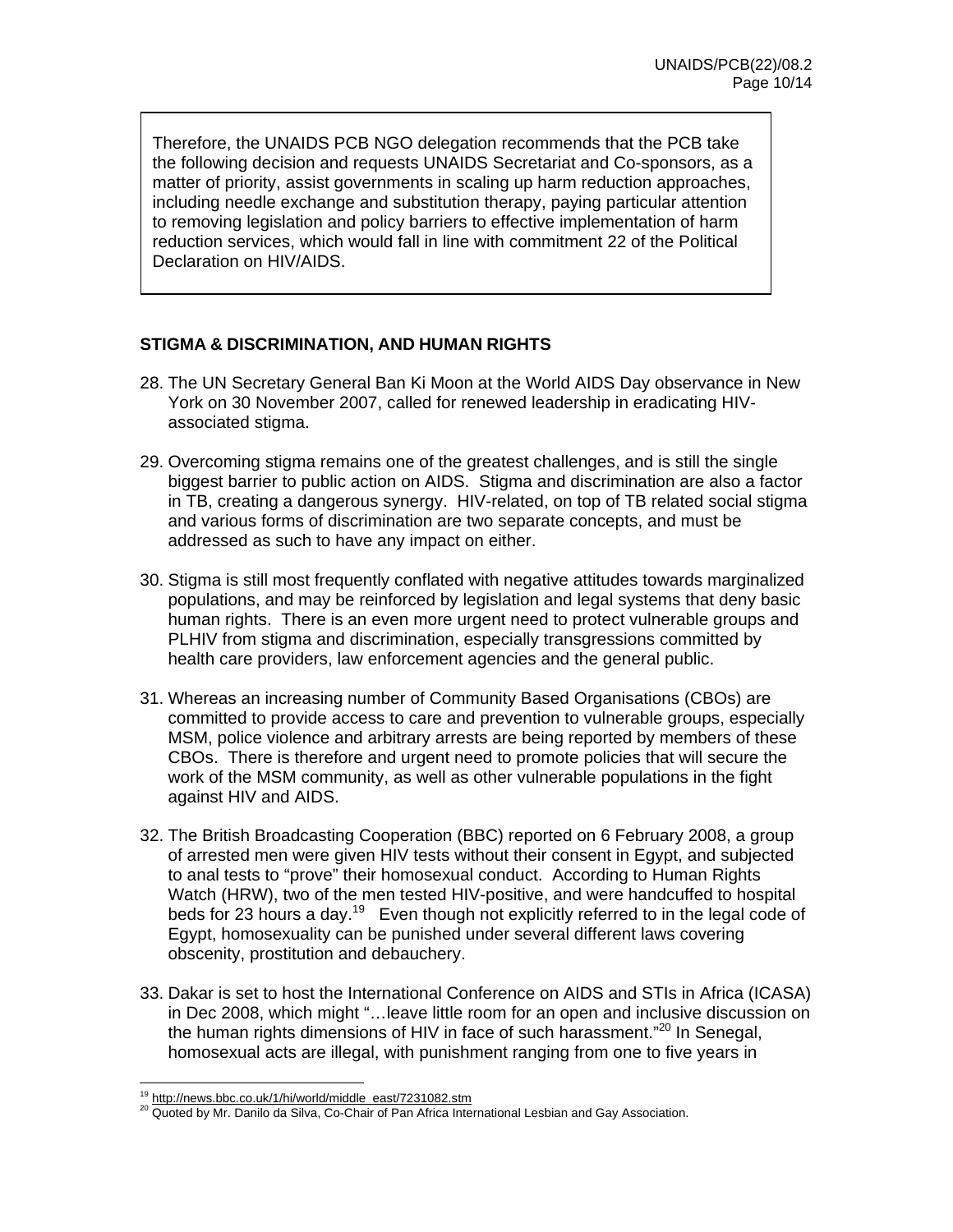Therefore, the UNAIDS PCB NGO delegation recommends that the PCB take the following decision and requests UNAIDS Secretariat and Co-sponsors, as a matter of priority, assist governments in scaling up harm reduction approaches, including needle exchange and substitution therapy, paying particular attention to removing legislation and policy barriers to effective implementation of harm reduction services, which would fall in line with commitment 22 of the Political Declaration on HIV/AIDS.

## **STIGMA & DISCRIMINATION, AND HUMAN RIGHTS**

- 28. The UN Secretary General Ban Ki Moon at the World AIDS Day observance in New York on 30 November 2007, called for renewed leadership in eradicating HIVassociated stigma.
- 29. Overcoming stigma remains one of the greatest challenges, and is still the single biggest barrier to public action on AIDS. Stigma and discrimination are also a factor in TB, creating a dangerous synergy. HIV-related, on top of TB related social stigma and various forms of discrimination are two separate concepts, and must be addressed as such to have any impact on either.
- 30. Stigma is still most frequently conflated with negative attitudes towards marginalized populations, and may be reinforced by legislation and legal systems that deny basic human rights. There is an even more urgent need to protect vulnerable groups and PLHIV from stigma and discrimination, especially transgressions committed by health care providers, law enforcement agencies and the general public.
- 31. Whereas an increasing number of Community Based Organisations (CBOs) are committed to provide access to care and prevention to vulnerable groups, especially MSM, police violence and arbitrary arrests are being reported by members of these CBOs. There is therefore and urgent need to promote policies that will secure the work of the MSM community, as well as other vulnerable populations in the fight against HIV and AIDS.
- 32. The British Broadcasting Cooperation (BBC) reported on 6 February 2008, a group of arrested men were given HIV tests without their consent in Egypt, and subjected to anal tests to "prove" their homosexual conduct. According to Human Rights Watch (HRW), two of the men tested HIV-positive, and were handcuffed to hospital beds for 23 hours a day.<sup>19</sup> Even though not explicitly referred to in the legal code of Egypt, homosexuality can be punished under several different laws covering obscenity, prostitution and debauchery.
- 33. Dakar is set to host the International Conference on AIDS and STIs in Africa (ICASA) in Dec 2008, which might "…leave little room for an open and inclusive discussion on the human rights dimensions of HIV in face of such harassment."<sup>20</sup> In Senegal, homosexual acts are illegal, with punishment ranging from one to five years in

<sup>&</sup>lt;sup>19</sup> http://news.bbc.co.uk/1/hi/world/middle east/7231082.stm

<sup>20</sup> Quoted by Mr. Danilo da Silva, Co-Chair of Pan Africa International Lesbian and Gay Association.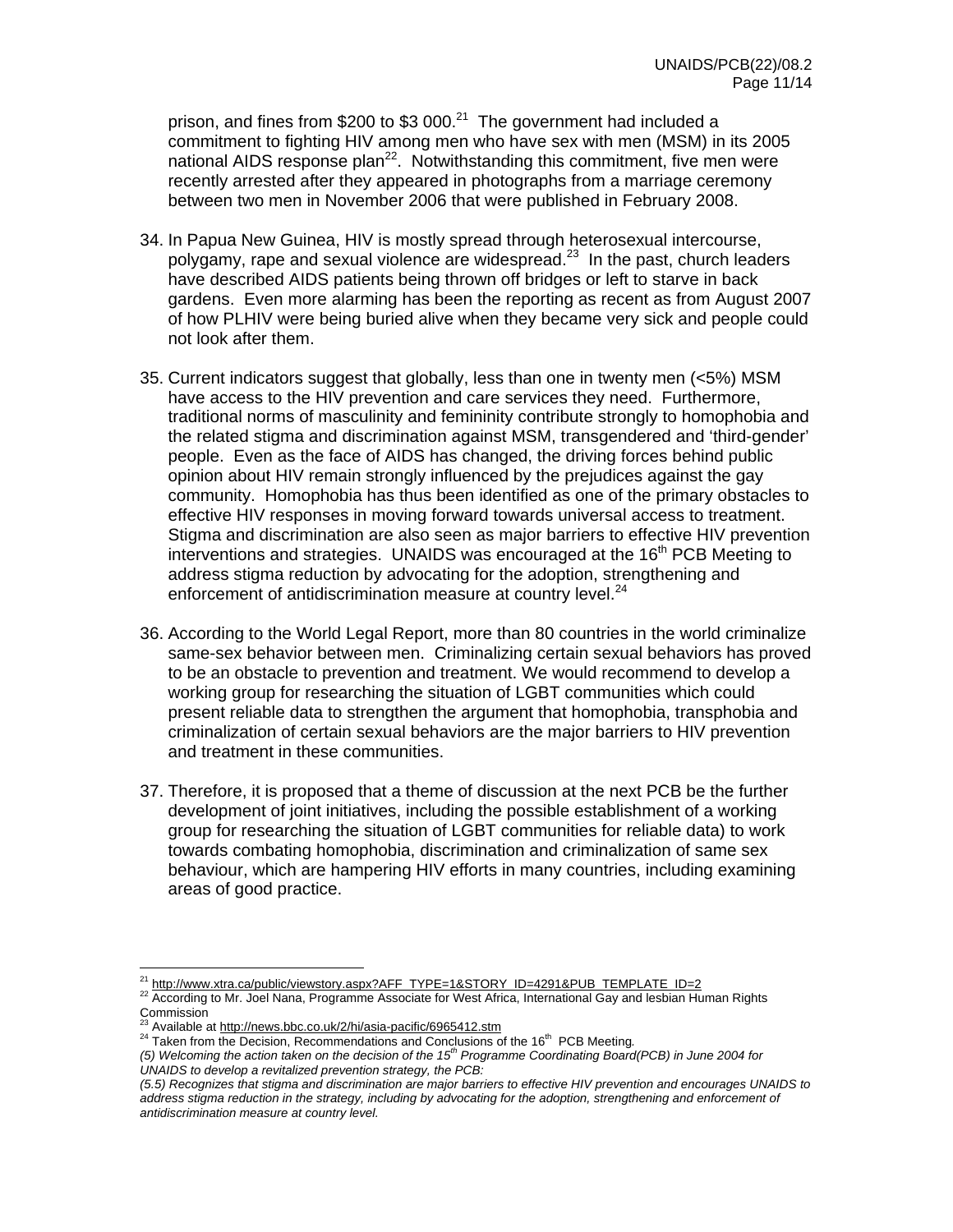prison, and fines from \$200 to \$3 000.<sup>21</sup> The government had included a commitment to fighting HIV among men who have sex with men (MSM) in its 2005 national AIDS response plan<sup>22</sup>. Notwithstanding this commitment, five men were recently arrested after they appeared in photographs from a marriage ceremony between two men in November 2006 that were published in February 2008.

- 34. In Papua New Guinea, HIV is mostly spread through heterosexual intercourse, polygamy, rape and sexual violence are widespread.<sup>23</sup> In the past, church leaders have described AIDS patients being thrown off bridges or left to starve in back gardens. Even more alarming has been the reporting as recent as from August 2007 of how PLHIV were being buried alive when they became very sick and people could not look after them.
- 35. Current indicators suggest that globally, less than one in twenty men (<5%) MSM have access to the HIV prevention and care services they need. Furthermore, traditional norms of masculinity and femininity contribute strongly to homophobia and the related stigma and discrimination against MSM, transgendered and 'third-gender' people. Even as the face of AIDS has changed, the driving forces behind public opinion about HIV remain strongly influenced by the prejudices against the gay community. Homophobia has thus been identified as one of the primary obstacles to effective HIV responses in moving forward towards universal access to treatment. Stigma and discrimination are also seen as major barriers to effective HIV prevention interventions and strategies. UNAIDS was encouraged at the  $16<sup>th</sup>$  PCB Meeting to address stigma reduction by advocating for the adoption, strengthening and enforcement of antidiscrimination measure at country level. $^{24}$
- 36. According to the World Legal Report, more than 80 countries in the world criminalize same-sex behavior between men. Criminalizing certain sexual behaviors has proved to be an obstacle to prevention and treatment. We would recommend to develop a working group for researching the situation of LGBT communities which could present reliable data to strengthen the argument that homophobia, transphobia and criminalization of certain sexual behaviors are the major barriers to HIV prevention and treatment in these communities.
- 37. Therefore, it is proposed that a theme of discussion at the next PCB be the further development of joint initiatives, including the possible establishment of a working group for researching the situation of LGBT communities for reliable data) to work towards combating homophobia, discrimination and criminalization of same sex behaviour, which are hampering HIV efforts in many countries, including examining areas of good practice.

<sup>&</sup>lt;sup>21</sup> http://www.xtra.ca/public/viewstory.aspx?AFF\_TYPE=1&STORY\_ID=4291&PUB\_TEMPLATE\_ID=2

<sup>&</sup>lt;sup>22</sup> According to Mr. Joel Nana, Programme Associate for West Africa, International Gay and lesbian Human Rights Commission<br><sup>23</sup> August La s

<sup>&</sup>lt;sup>23</sup> Available at http://news.bbc.co.uk/2/hi/asia-pacific/6965412.stm<br><sup>24</sup> Taken from the Decision, Recommendations and Conclusions of the 16<sup>th</sup> PCB Meeting.

*<sup>(5)</sup> Welcoming the action taken on the decision of the 15th Programme Coordinating Board(PCB) in June 2004 for UNAIDS to develop a revitalized prevention strategy, the PCB:* 

*<sup>(5.5)</sup> Recognizes that stigma and discrimination are major barriers to effective HIV prevention and encourages UNAIDS to address stigma reduction in the strategy, including by advocating for the adoption, strengthening and enforcement of antidiscrimination measure at country level.*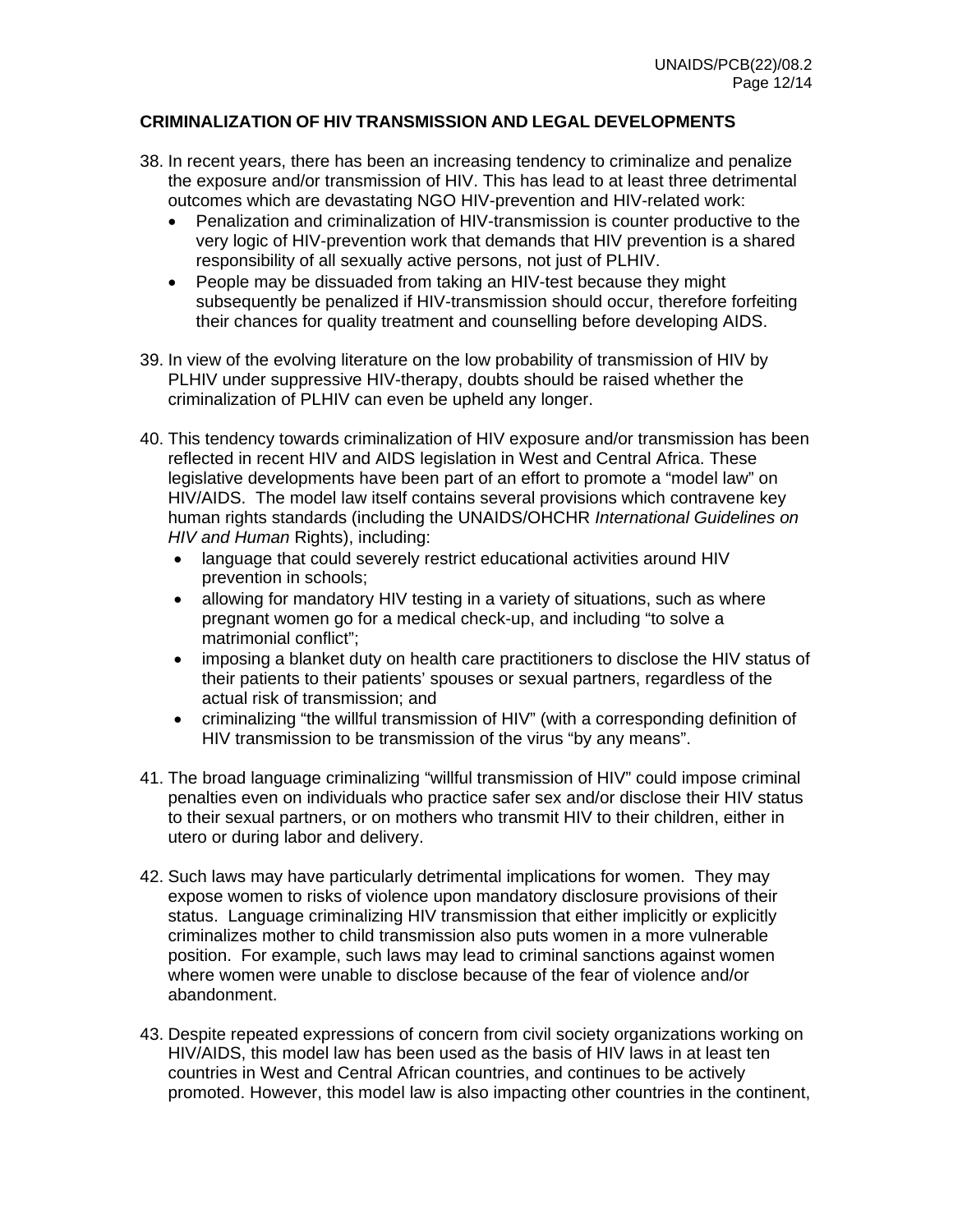### **CRIMINALIZATION OF HIV TRANSMISSION AND LEGAL DEVELOPMENTS**

- 38. In recent years, there has been an increasing tendency to criminalize and penalize the exposure and/or transmission of HIV. This has lead to at least three detrimental outcomes which are devastating NGO HIV-prevention and HIV-related work:
	- Penalization and criminalization of HIV-transmission is counter productive to the very logic of HIV-prevention work that demands that HIV prevention is a shared responsibility of all sexually active persons, not just of PLHIV.
	- People may be dissuaded from taking an HIV-test because they might subsequently be penalized if HIV-transmission should occur, therefore forfeiting their chances for quality treatment and counselling before developing AIDS.
- 39. In view of the evolving literature on the low probability of transmission of HIV by PLHIV under suppressive HIV-therapy, doubts should be raised whether the criminalization of PLHIV can even be upheld any longer.
- 40. This tendency towards criminalization of HIV exposure and/or transmission has been reflected in recent HIV and AIDS legislation in West and Central Africa. These legislative developments have been part of an effort to promote a "model law" on HIV/AIDS. The model law itself contains several provisions which contravene key human rights standards (including the UNAIDS/OHCHR *International Guidelines on HIV and Human* Rights), including:
	- language that could severely restrict educational activities around HIV prevention in schools;
	- allowing for mandatory HIV testing in a variety of situations, such as where pregnant women go for a medical check-up, and including "to solve a matrimonial conflict";
	- imposing a blanket duty on health care practitioners to disclose the HIV status of their patients to their patients' spouses or sexual partners, regardless of the actual risk of transmission; and
	- criminalizing "the willful transmission of HIV" (with a corresponding definition of HIV transmission to be transmission of the virus "by any means".
- 41. The broad language criminalizing "willful transmission of HIV" could impose criminal penalties even on individuals who practice safer sex and/or disclose their HIV status to their sexual partners, or on mothers who transmit HIV to their children, either in utero or during labor and delivery.
- 42. Such laws may have particularly detrimental implications for women. They may expose women to risks of violence upon mandatory disclosure provisions of their status. Language criminalizing HIV transmission that either implicitly or explicitly criminalizes mother to child transmission also puts women in a more vulnerable position. For example, such laws may lead to criminal sanctions against women where women were unable to disclose because of the fear of violence and/or abandonment.
- 43. Despite repeated expressions of concern from civil society organizations working on HIV/AIDS, this model law has been used as the basis of HIV laws in at least ten countries in West and Central African countries, and continues to be actively promoted. However, this model law is also impacting other countries in the continent,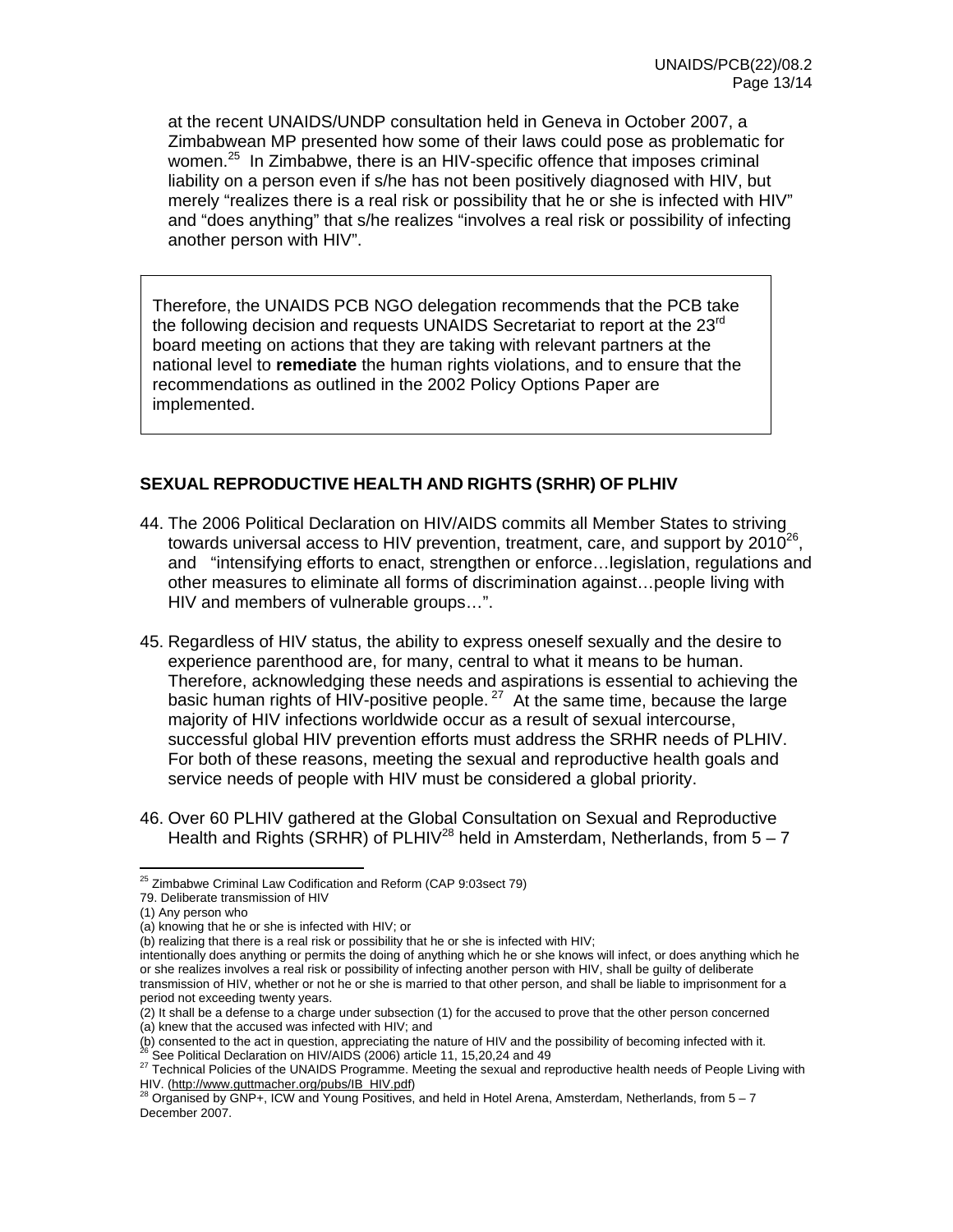at the recent UNAIDS/UNDP consultation held in Geneva in October 2007, a Zimbabwean MP presented how some of their laws could pose as problematic for women.<sup>25</sup> In Zimbabwe, there is an HIV-specific offence that imposes criminal liability on a person even if s/he has not been positively diagnosed with HIV, but merely "realizes there is a real risk or possibility that he or she is infected with HIV" and "does anything" that s/he realizes "involves a real risk or possibility of infecting another person with HIV".

Therefore, the UNAIDS PCB NGO delegation recommends that the PCB take the following decision and requests UNAIDS Secretariat to report at the 23<sup>rd</sup> board meeting on actions that they are taking with relevant partners at the national level to **remediate** the human rights violations, and to ensure that the recommendations as outlined in the 2002 Policy Options Paper are implemented.

#### **SEXUAL REPRODUCTIVE HEALTH AND RIGHTS (SRHR) OF PLHIV**

- 44. The 2006 Political Declaration on HIV/AIDS commits all Member States to striving towards universal access to HIV prevention, treatment, care, and support by  $2010^{26}$ , and "intensifying efforts to enact, strengthen or enforce…legislation, regulations and other measures to eliminate all forms of discrimination against…people living with HIV and members of vulnerable groups…".
- 45. Regardless of HIV status, the ability to express oneself sexually and the desire to experience parenthood are, for many, central to what it means to be human. Therefore, acknowledging these needs and aspirations is essential to achieving the basic human rights of HIV-positive people. 27 At the same time, because the large majority of HIV infections worldwide occur as a result of sexual intercourse, successful global HIV prevention efforts must address the SRHR needs of PLHIV. For both of these reasons, meeting the sexual and reproductive health goals and service needs of people with HIV must be considered a global priority.
- 46. Over 60 PLHIV gathered at the Global Consultation on Sexual and Reproductive Health and Rights (SRHR) of PLHIV<sup>28</sup> held in Amsterdam, Netherlands, from  $5 - 7$

 $\overline{a}$ 25 Zimbabwe Criminal Law Codification and Reform (CAP 9:03sect 79)

<sup>79.</sup> Deliberate transmission of HIV

<sup>(1)</sup> Any person who

<sup>(</sup>a) knowing that he or she is infected with HIV; or

 $\overline{b}$ ) realizing that there is a real risk or possibility that he or she is infected with HIV;

intentionally does anything or permits the doing of anything which he or she knows will infect, or does anything which he or she realizes involves a real risk or possibility of infecting another person with HIV, shall be guilty of deliberate transmission of HIV, whether or not he or she is married to that other person, and shall be liable to imprisonment for a period not exceeding twenty years.

<sup>(2)</sup> It shall be a defense to a charge under subsection (1) for the accused to prove that the other person concerned

<sup>(</sup>a) knew that the accused was infected with HIV; and<br>(b) consented to the act in question, appreciating the nature of HIV and the possibility of becoming infected with it.

<sup>&</sup>lt;sup>26</sup> See Political Declaration on HIV/AIDS (2006) article 11, 15,20,24 and 49<br><sup>27</sup> Technical Policies of the UNAIDS Programme. Meeting the sexual and reproductive health needs of People Living with

HIV. (http://www.guttmacher.org/pubs/IB\_HIV.pdf)<br><sup>28</sup> Organised by GNP+, ICW and Young Positives, and held in Hotel Arena, Amsterdam, Netherlands, from 5 – 7 December 2007.